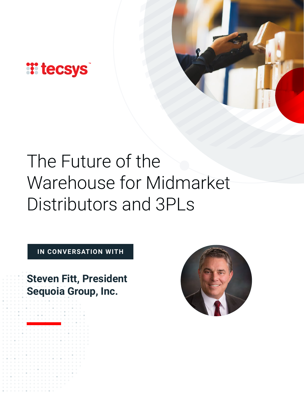

# The Future of the Warehouse for Midmarket Distributors and 3PLs

**IN CONVERSATION WITH**

**Steven Fitt, President Sequoia Group, Inc.** 

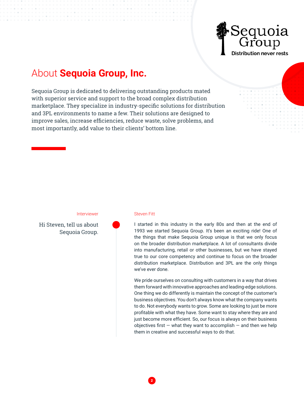

# About **Sequoia Group, Inc.**

Sequoia Group is dedicated to delivering outstanding products mated with superior service and support to the broad complex distribution marketplace. They specialize in industry-specific solutions for distribution and 3PL environments to name a few. Their solutions are designed to improve sales, increase efficiencies, reduce waste, solve problems, and most importantly, add value to their clients' bottom line.

## Interviewer Steven Fitt

Hi Steven, tell us about Sequoia Group.

2

I started in this industry in the early 80s and then at the end of 1993 we started Sequoia Group. It's been an exciting ride! One of the things that make Sequoia Group unique is that we only focus on the broader distribution marketplace. A lot of consultants divide into manufacturing, retail or other businesses, but we have stayed true to our core competency and continue to focus on the broader distribution marketplace. Distribution and 3PL are the only things we've ever done.

We pride ourselves on consulting with customers in a way that drives them forward with innovative approaches and leading-edge solutions. One thing we do differently is maintain the concept of the customer's business objectives. You don't always know what the company wants to do. Not everybody wants to grow. Some are looking to just be more profitable with what they have. Some want to stay where they are and just become more efficient. So, our focus is always on their business objectives first  $-$  what they want to accomplish  $-$  and then we help them in creative and successful ways to do that.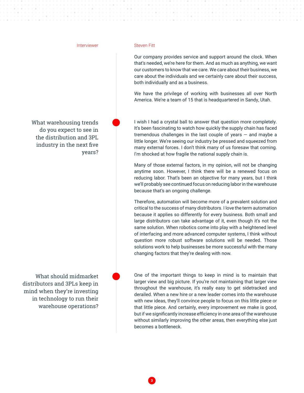### Interviewer Steven Fitt

What warehousing trends do you expect to see in the distribution and 3PL industry in the next five years?

What should midmarket distributors and 3PLs keep in mind when they're investing in technology to run their warehouse operations?

Our company provides service and support around the clock. When that's needed, we're here for them. And as much as anything, we want our customers to know that we care. We care about their business, we care about the individuals and we certainly care about their success, both individually and as a business.

We have the privilege of working with businesses all over North America. We're a team of 15 that is headquartered in Sandy, Utah.

I wish I had a crystal ball to answer that question more completely. It's been fascinating to watch how quickly the supply chain has faced tremendous challenges in the last couple of years — and maybe a little longer. We're seeing our industry be pressed and squeezed from many external forces. I don't think many of us foresaw that coming. I'm shocked at how fragile the national supply chain is.

Many of those external factors, in my opinion, will not be changing anytime soon. However, I think there will be a renewed focus on reducing labor. That's been an objective for many years, but I think we'll probably see continued focus on reducing labor in the warehouse because that's an ongoing challenge.

Therefore, automation will become more of a prevalent solution and critical to the success of many distributors. I love the term automation because it applies so differently for every business. Both small and large distributors can take advantage of it, even though it's not the same solution. When robotics come into play with a heightened level of interfacing and more advanced computer systems, I think without question more robust software solutions will be needed. Those solutions work to help businesses be more successful with the many changing factors that they're dealing with now.

One of the important things to keep in mind is to maintain that larger view and big picture. If you're not maintaining that larger view throughout the warehouse, it's really easy to get sidetracked and derailed. When a new hire or a new leader comes into the warehouse with new ideas, they'll convince people to focus on this little piece or that little piece. And certainly, every improvement we make is good, but if we significantly increase efficiency in one area of the warehouse without similarly improving the other areas, then everything else just becomes a bottleneck.

3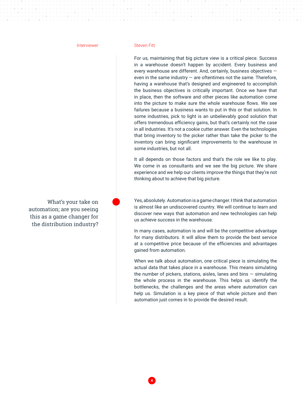What's your take on automation; are you seeing this as a game changer for the distribution industry?

## Interviewer Steven Fitt

For us, maintaining that big picture view is a critical piece. Success in a warehouse doesn't happen by accident. Every business and every warehouse are different. And, certainly, business objectives even in the same industry  $-$  are oftentimes not the same. Therefore, having a warehouse that's designed and engineered to accomplish the business objectives is critically important. Once we have that in place, then the software and other pieces like automation come into the picture to make sure the whole warehouse flows. We see failures because a business wants to put in this or that solution. In some industries, pick to light is an unbelievably good solution that offers tremendous efficiency gains, but that's certainly not the case in all industries. It's not a cookie cutter answer. Even the technologies that bring inventory to the picker rather than take the picker to the inventory can bring significant improvements to the warehouse in some industries, but not all.

It all depends on those factors and that's the role we like to play. We come in as consultants and we see the big picture. We share experience and we help our clients improve the things that they're not thinking about to achieve that big picture.

Yes, absolutely. Automation is a game changer. I think that automation is almost like an undiscovered country. We will continue to learn and discover new ways that automation and new technologies can help us achieve success in the warehouse.

In many cases, automation is and will be the competitive advantage for many distributors. It will allow them to provide the best service at a competitive price because of the efficiencies and advantages gained from automation.

When we talk about automation, one critical piece is simulating the actual data that takes place in a warehouse. This means simulating the number of pickers, stations, aisles, lanes and bins  $-$  simulating the whole process in the warehouse. This helps us identify the bottlenecks, the challenges and the areas where automation can help us. Simulation is a key piece of that whole picture and then automation just comes in to provide the desired result.

4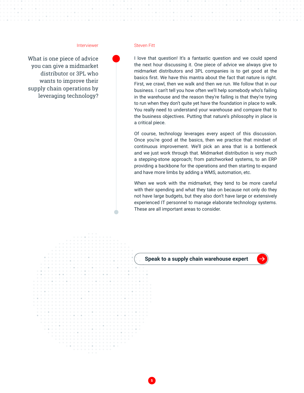### Interviewer Steven Fitt

What is one piece of advice you can give a midmarket distributor or 3PL who wants to improve their supply chain operations by leveraging technology?

I love that question! It's a fantastic question and we could spend the next hour discussing it. One piece of advice we always give to midmarket distributors and 3PL companies is to get good at the basics first. We have this mantra about the fact that nature is right. First, we crawl, then we walk and then we run. We follow that in our business. I can't tell you how often we'll help somebody who's failing in the warehouse and the reason they're failing is that they're trying to run when they don't quite yet have the foundation in place to walk. You really need to understand your warehouse and compare that to the business objectives. Putting that nature's philosophy in place is a critical piece.

Of course, technology leverages every aspect of this discussion. Once you're good at the basics, then we practice that mindset of continuous improvement. We'll pick an area that is a bottleneck and we just work through that. Midmarket distribution is very much a stepping-stone approach; from patchworked systems, to an ERP providing a backbone for the operations and then starting to expand and have more limbs by adding a WMS, automation, etc.

When we work with the midmarket, they tend to be more careful with their spending and what they take on because not only do they not have large budgets, but they also don't have large or extensively experienced IT personnel to manage elaborate technology systems. These are all important areas to consider.



5